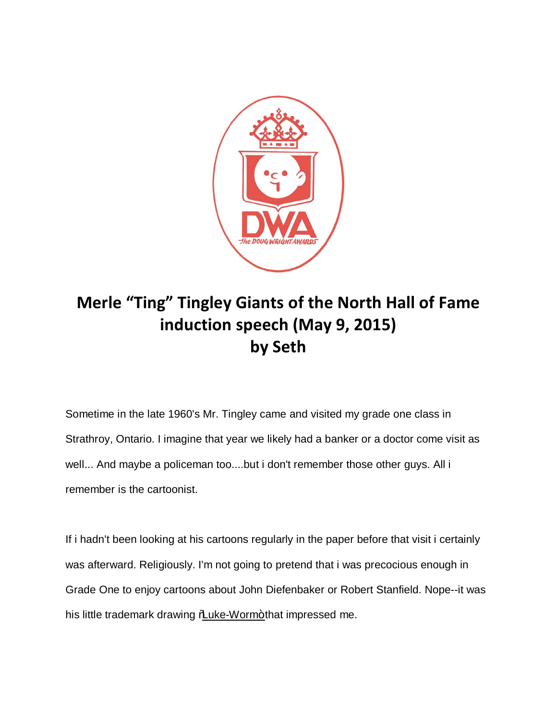

## **Merle "Ting" Tingley Giants of the North Hall of Fame induction speech (May 9, 2015) by Seth**

Sometime in the late 1960's Mr. Tingley came and visited my grade one class in Strathroy, Ontario. I imagine that year we likely had a banker or a doctor come visit as well... And maybe a policeman too....but i don't remember those other guys. All i remember is the cartoonist.

If i hadn't been looking at his cartoons regularly in the paper before that visit i certainly was afterward. Religiously. I'm not going to pretend that i was precocious enough in Grade One to enjoy cartoons about John Diefenbaker or Robert Stanfield. Nope--it was his little trademark drawing *Mulke-Worm+* that impressed me.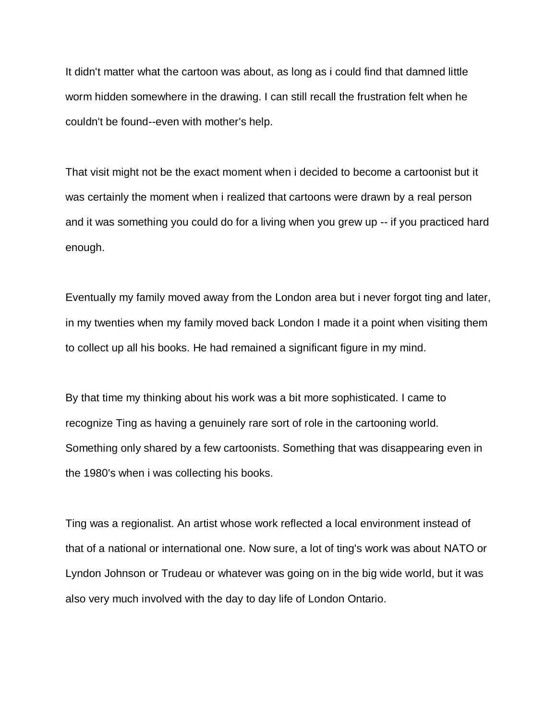It didn't matter what the cartoon was about, as long as i could find that damned little worm hidden somewhere in the drawing. I can still recall the frustration felt when he couldn't be found--even with mother's help.

That visit might not be the exact moment when i decided to become a cartoonist but it was certainly the moment when i realized that cartoons were drawn by a real person and it was something you could do for a living when you grew up -- if you practiced hard enough.

Eventually my family moved away from the London area but i never forgot ting and later, in my twenties when my family moved back London I made it a point when visiting them to collect up all his books. He had remained a significant figure in my mind.

By that time my thinking about his work was a bit more sophisticated. I came to recognize Ting as having a genuinely rare sort of role in the cartooning world. Something only shared by a few cartoonists. Something that was disappearing even in the 1980's when i was collecting his books.

Ting was a regionalist. An artist whose work reflected a local environment instead of that of a national or international one. Now sure, a lot of ting's work was about NATO or Lyndon Johnson or Trudeau or whatever was going on in the big wide world, but it was also very much involved with the day to day life of London Ontario.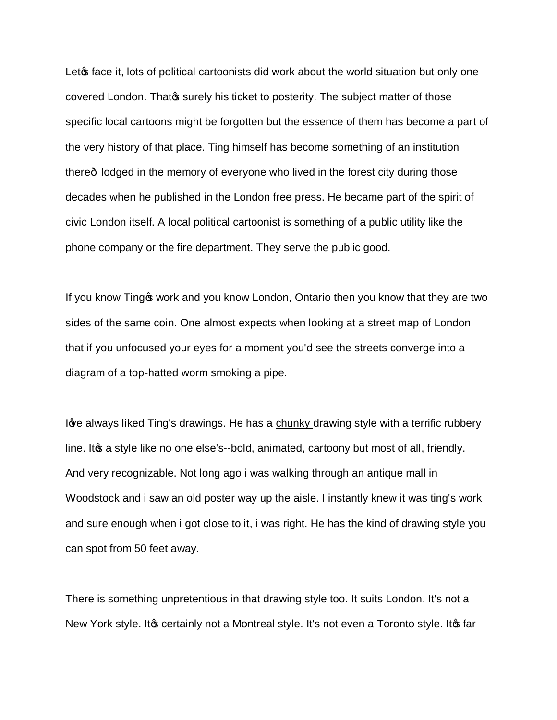Let face it, lots of political cartoonists did work about the world situation but only one covered London. Thatos surely his ticket to posterity. The subject matter of those specific local cartoons might be forgotten but the essence of them has become a part of the very history of that place. Ting himself has become something of an institution there lodged in the memory of everyone who lived in the forest city during those decades when he published in the London free press. He became part of the spirit of civic London itself. A local political cartoonist is something of a public utility like the phone company or the fire department. They serve the public good.

If you know Ting of work and you know London, Ontario then you know that they are two sides of the same coin. One almost expects when looking at a street map of London that if you unfocused your eyes for a moment you'd see the streets converge into a diagram of a top-hatted worm smoking a pipe.

Iove always liked Ting's drawings. He has a chunky drawing style with a terrific rubbery line. It a a style like no one else's--bold, animated, cartoony but most of all, friendly. And very recognizable. Not long ago i was walking through an antique mall in Woodstock and i saw an old poster way up the aisle. I instantly knew it was ting's work and sure enough when i got close to it, i was right. He has the kind of drawing style you can spot from 50 feet away.

There is something unpretentious in that drawing style too. It suits London. It's not a New York style. It to certainly not a Montreal style. It's not even a Toronto style. It to far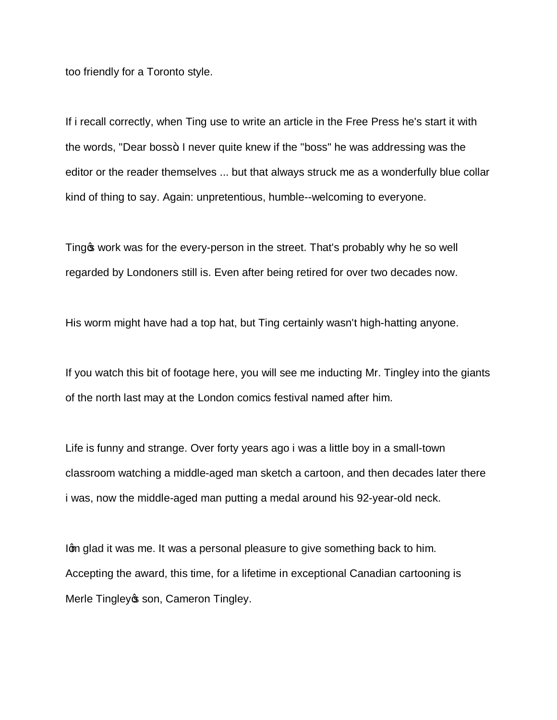too friendly for a Toronto style.

If i recall correctly, when Ting use to write an article in the Free Press he's start it with the words, "Dear boss+. I never quite knew if the "boss" he was addressing was the editor or the reader themselves ... but that always struck me as a wonderfully blue collar kind of thing to say. Again: unpretentious, humble--welcoming to everyone.

Ting work was for the every-person in the street. That's probably why he so well regarded by Londoners still is. Even after being retired for over two decades now.

His worm might have had a top hat, but Ting certainly wasn't high-hatting anyone.

If you watch this bit of footage here, you will see me inducting Mr. Tingley into the giants of the north last may at the London comics festival named after him.

Life is funny and strange. Over forty years ago i was a little boy in a small-town classroom watching a middle-aged man sketch a cartoon, and then decades later there i was, now the middle-aged man putting a medal around his 92-year-old neck.

I'm glad it was me. It was a personal pleasure to give something back to him. Accepting the award, this time, for a lifetime in exceptional Canadian cartooning is Merle Tingley os son, Cameron Tingley.